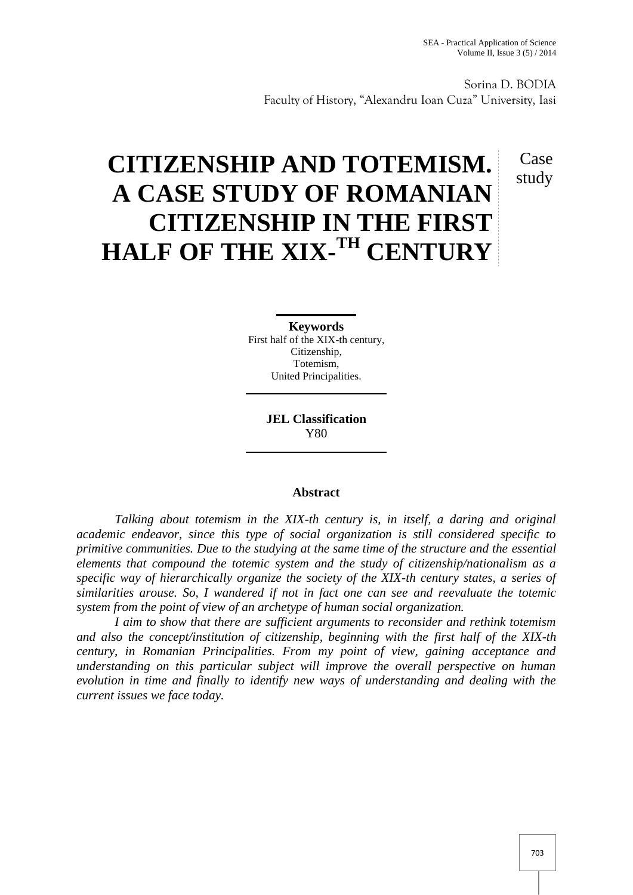Sorina D. BODIA Faculty of History, "Alexandru Ioan Cuza" University, Iasi

## Case study

# **CITIZENSHIP AND TOTEMISM. A CASE STUDY OF ROMANIAN CITIZENSHIP IN THE FIRST HALF OF THE XIX-TH CENTURY**

**Keywords** First half of the XIX-th century, Citizenship, Totemism,

United Principalities.

**JEL Classification** Y80

### **Abstract**

*Talking about totemism in the XIX-th century is, in itself, a daring and original academic endeavor, since this type of social organization is still considered specific to primitive communities. Due to the studying at the same time of the structure and the essential elements that compound the totemic system and the study of citizenship/nationalism as a specific way of hierarchically organize the society of the XIX-th century states, a series of similarities arouse. So, I wandered if not in fact one can see and reevaluate the totemic system from the point of view of an archetype of human social organization.*

*I aim to show that there are sufficient arguments to reconsider and rethink totemism and also the concept/institution of citizenship, beginning with the first half of the XIX-th century, in Romanian Principalities. From my point of view, gaining acceptance and understanding on this particular subject will improve the overall perspective on human evolution in time and finally to identify new ways of understanding and dealing with the current issues we face today.*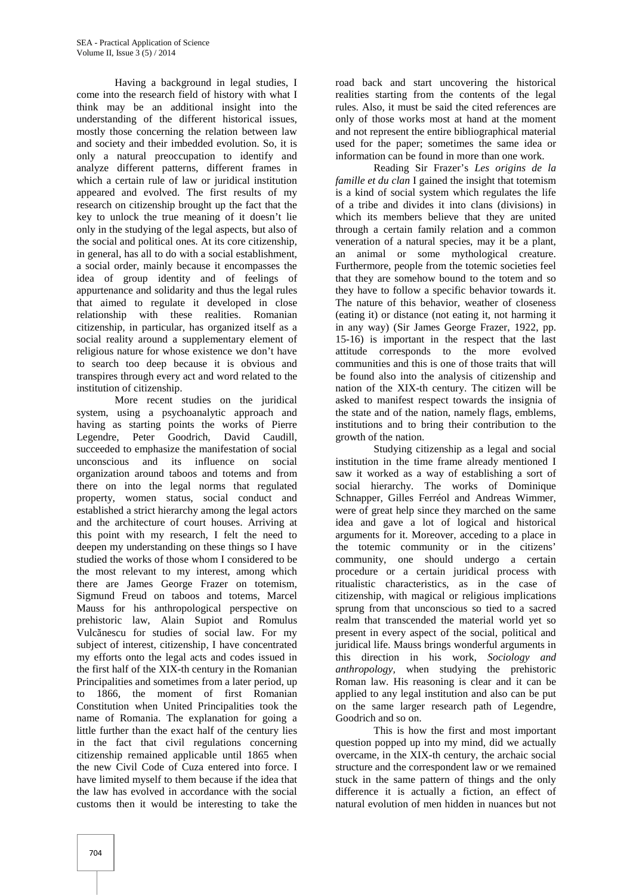Having a background in legal studies, I come into the research field of history with what I think may be an additional insight into the understanding of the different historical issues, mostly those concerning the relation between law and society and their imbedded evolution. So, it is only a natural preoccupation to identify and analyze different patterns, different frames in which a certain rule of law or juridical institution appeared and evolved. The first results of my research on citizenship brought up the fact that the key to unlock the true meaning of it doesn't lie only in the studying of the legal aspects, but also of the social and political ones. At its core citizenship, in general, has all to do with a social establishment, a social order, mainly because it encompasses the idea of group identity and of feelings of appurtenance and solidarity and thus the legal rules that aimed to regulate it developed in close relationship with these realities. Romanian citizenship, in particular, has organized itself as a social reality around a supplementary element of religious nature for whose existence we don't have to search too deep because it is obvious and transpires through every act and word related to the institution of citizenship.

More recent studies on the juridical system, using a psychoanalytic approach and having as starting points the works of Pierre Legendre, Peter Goodrich, David Caudill, succeeded to emphasize the manifestation of social unconscious and its influence on social organization around taboos and totems and from there on into the legal norms that regulated property, women status, social conduct and established a strict hierarchy among the legal actors and the architecture of court houses. Arriving at this point with my research, I felt the need to deepen my understanding on these things so I have studied the works of those whom I considered to be the most relevant to my interest, among which there are James George Frazer on totemism, Sigmund Freud on taboos and totems, Marcel Mauss for his anthropological perspective on prehistoric law, Alain Supiot and Romulus Vulc nescu for studies of social law. For my subject of interest, citizenship, I have concentrated my efforts onto the legal acts and codes issued in the first half of the XIX-th century in the Romanian Principalities and sometimes from a later period, up to 1866, the moment of first Romanian Constitution when United Principalities took the name of Romania. The explanation for going a little further than the exact half of the century lies in the fact that civil regulations concerning citizenship remained applicable until 1865 when the new Civil Code of Cuza entered into force. I have limited myself to them because if the idea that the law has evolved in accordance with the social customs then it would be interesting to take the

road back and start uncovering the historical realities starting from the contents of the legal rules. Also, it must be said the cited references are only of those works most at hand at the moment and not represent the entire bibliographical material used for the paper; sometimes the same idea or information can be found in more than one work.

Reading Sir Frazer's *Les origins de la famille et du clan* I gained the insight that totemism is a kind of social system which regulates the life of a tribe and divides it into clans (divisions) in which its members believe that they are united through a certain family relation and a common veneration of a natural species, may it be a plant, an animal or some mythological creature. Furthermore, people from the totemic societies feel that they are somehow bound to the totem and so they have to follow a specific behavior towards it. The nature of this behavior, weather of closeness (eating it) or distance (not eating it, not harming it in any way) (Sir James George Frazer, 1922, pp. 15-16) is important in the respect that the last attitude corresponds to the more evolved communities and this is one of those traits that will be found also into the analysis of citizenship and nation of the XIX-th century. The citizen will be asked to manifest respect towards the insignia of the state and of the nation, namely flags, emblems, institutions and to bring their contribution to the growth of the nation.

Studying citizenship as a legal and social institution in the time frame already mentioned I saw it worked as a way of establishing a sort of social hierarchy. The works of Dominique Schnapper, Gilles Ferréol and Andreas Wimmer, were of great help since they marched on the same idea and gave a lot of logical and historical arguments for it. Moreover, acceding to a place in the totemic community or in the citizens' community, one should undergo a certain procedure or a certain juridical process with ritualistic characteristics, as in the case of citizenship, with magical or religious implications sprung from that unconscious so tied to a sacred realm that transcended the material world yet so present in every aspect of the social, political and juridical life. Mauss brings wonderful arguments in this direction in his work, *Sociology and anthropology,* when studying the prehistoric Roman law. His reasoning is clear and it can be applied to any legal institution and also can be put on the same larger research path of Legendre, Goodrich and so on.

This is how the first and most important question popped up into my mind, did we actually overcame, in the XIX-th century, the archaic social structure and the correspondent law or we remained stuck in the same pattern of things and the only difference it is actually a fiction, an effect of natural evolution of men hidden in nuances but not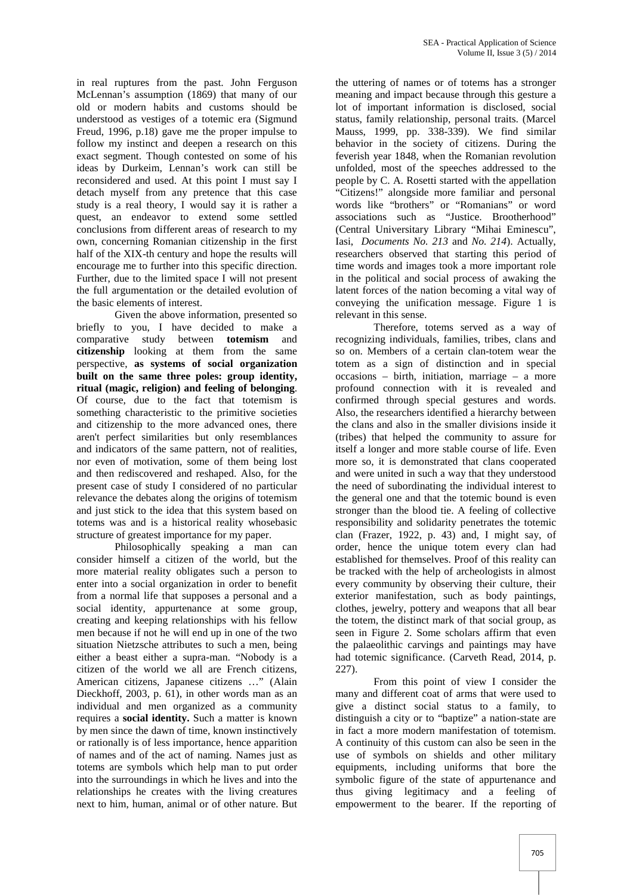in real ruptures from the past. John Ferguson McLennan's assumption (1869) that many of our old or modern habits and customs should be understood as vestiges of a totemic era (Sigmund Freud, 1996, p.18) gave me the proper impulse to follow my instinct and deepen a research on this exact segment. Though contested on some of his ideas by Durkeim, Lennan's work can still be reconsidered and used. At this point I must say I detach myself from any pretence that this case study is a real theory, I would say it is rather a quest, an endeavor to extend some settled conclusions from different areas of research to my own, concerning Romanian citizenship in the first half of the XIX-th century and hope the results will encourage me to further into this specific direction. Further, due to the limited space I will not present the full argumentation or the detailed evolution of the basic elements of interest.

Given the above information, presented so briefly to you, I have decided to make a comparative study between **totemism** and **citizenship** looking at them from the same perspective, **as systems of social organization built on the same three poles: group identity, ritual (magic, religion) and feeling of belonging**. Of course, due to the fact that totemism is something characteristic to the primitive societies and citizenship to the more advanced ones, there aren't perfect similarities but only resemblances and indicators of the same pattern, not of realities, nor even of motivation, some of them being lost and then rediscovered and reshaped. Also, for the present case of study I considered of no particular relevance the debates along the origins of totemism and just stick to the idea that this system based on totems was and is a historical reality whosebasic structure of greatest importance for my paper.

Philosophically speaking a man can consider himself a citizen of the world, but the more material reality obligates such a person to enter into a social organization in order to benefit from a normal life that supposes a personal and a social identity, appurtenance at some group, creating and keeping relationships with his fellow men because if not he will end up in one of the two situation Nietzsche attributes to such a men, being either a beast either a supra-man. "Nobody is a citizen of the world we all are French citizens, American citizens, Japanese citizens …" (Alain Dieckhoff, 2003, p. 61), in other words man as an individual and men organized as a community requires a **social identity.** Such a matter is known by men since the dawn of time, known instinctively or rationally is of less importance, hence apparition of names and of the act of naming. Names just as totems are symbols which help man to put order into the surroundings in which he lives and into the relationships he creates with the living creatures next to him, human, animal or of other nature. But

the uttering of names or of totems has a stronger meaning and impact because through this gesture a lot of important information is disclosed, social status, family relationship, personal traits. (Marcel Mauss, 1999, pp. 338-339). We find similar behavior in the society of citizens. During the feverish year 1848, when the Romanian revolution unfolded, most of the speeches addressed to the people by C. A. Rosetti started with the appellation "Citizens!" alongside more familiar and personal words like "brothers" or "Romanians" or word associations such as "Justice. Brootherhood" (Central Universitary Library "Mihai Eminescu", Iasi, *Documents No. 213* and *No. 214*). Actually, researchers observed that starting this period of time words and images took a more important role in the political and social process of awaking the latent forces of the nation becoming a vital way of conveying the unification message. Figure 1 is relevant in this sense.

Therefore, totems served as a way of recognizing individuals, families, tribes, clans and so on. Members of a certain clan-totem wear the totem as a sign of distinction and in special occasions – birth, initiation, marriage – a more profound connection with it is revealed and confirmed through special gestures and words. Also, the researchers identified a hierarchy between the clans and also in the smaller divisions inside it (tribes) that helped the community to assure for itself a longer and more stable course of life. Even more so, it is demonstrated that clans cooperated and were united in such a way that they understood the need of subordinating the individual interest to the general one and that the totemic bound is even stronger than the blood tie. A feeling of collective responsibility and solidarity penetrates the totemic clan (Frazer, 1922, p. 43) and, I might say, of order, hence the unique totem every clan had established for themselves. Proof of this reality can be tracked with the help of archeologists in almost every community by observing their culture, their exterior manifestation, such as body paintings, clothes, jewelry, pottery and weapons that all bear the totem, the distinct mark of that social group, as seen in Figure 2. Some scholars affirm that even the palaeolithic carvings and paintings may have had totemic significance. (Carveth Read, 2014, p. 227).

From this point of view I consider the many and different coat of arms that were used to give a distinct social status to a family, to distinguish a city or to "baptize" a nation-state are in fact a more modern manifestation of totemism. A continuity of this custom can also be seen in the use of symbols on shields and other military equipments, including uniforms that bore the symbolic figure of the state of appurtenance and thus giving legitimacy and a feeling of empowerment to the bearer. If the reporting of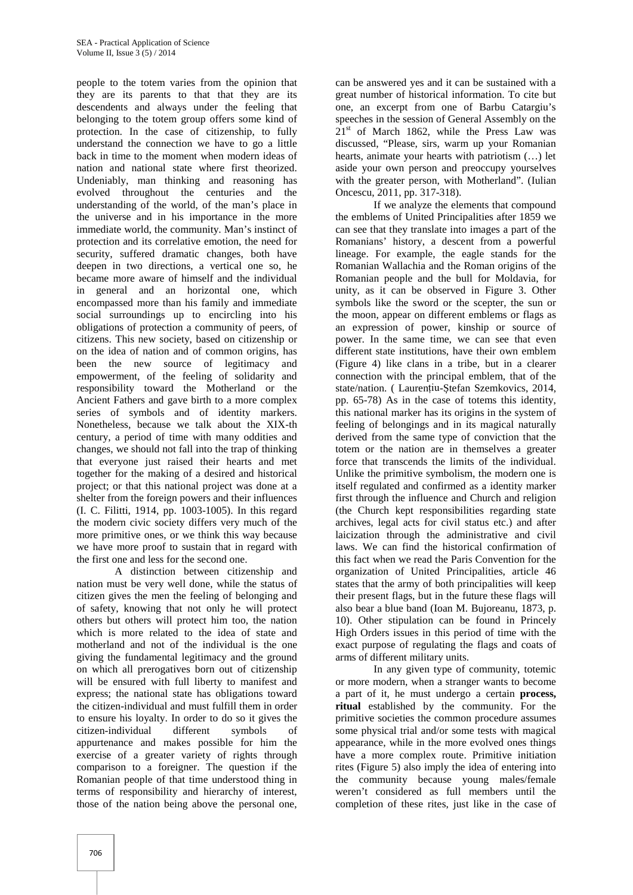people to the totem varies from the opinion that they are its parents to that that they are its descendents and always under the feeling that belonging to the totem group offers some kind of protection. In the case of citizenship, to fully understand the connection we have to go a little back in time to the moment when modern ideas of nation and national state where first theorized. Undeniably, man thinking and reasoning has evolved throughout the centuries and the understanding of the world, of the man's place in the universe and in his importance in the more immediate world, the community. Man's instinct of protection and its correlative emotion, the need for security, suffered dramatic changes, both have deepen in two directions, a vertical one so, he became more aware of himself and the individual in general and an horizontal one, which encompassed more than his family and immediate social surroundings up to encircling into his obligations of protection a community of peers, of citizens. This new society, based on citizenship or on the idea of nation and of common origins, has been the new source of legitimacy and empowerment, of the feeling of solidarity and responsibility toward the Motherland or the Ancient Fathers and gave birth to a more complex series of symbols and of identity markers. Nonetheless, because we talk about the XIX-th century, a period of time with many oddities and changes, we should not fall into the trap of thinking that everyone just raised their hearts and met together for the making of a desired and historical project; or that this national project was done at a shelter from the foreign powers and their influences (I. C. Filitti, 1914, pp. 1003-1005). In this regard the modern civic society differs very much of the more primitive ones, or we think this way because we have more proof to sustain that in regard with the first one and less for the second one.

A distinction between citizenship and nation must be very well done, while the status of citizen gives the men the feeling of belonging and of safety, knowing that not only he will protect others but others will protect him too, the nation which is more related to the idea of state and motherland and not of the individual is the one giving the fundamental legitimacy and the ground on which all prerogatives born out of citizenship will be ensured with full liberty to manifest and express; the national state has obligations toward the citizen-individual and must fulfill them in order to ensure his loyalty. In order to do so it gives the citizen-individual different symbols of appurtenance and makes possible for him the exercise of a greater variety of rights through comparison to a foreigner. The question if the Romanian people of that time understood thing in terms of responsibility and hierarchy of interest, those of the nation being above the personal one,

can be answered yes and it can be sustained with a great number of historical information. To cite but one, an excerpt from one of Barbu Catargiu's speeches in the session of General Assembly on the  $21<sup>st</sup>$  of March 1862, while the Press Law was discussed, "Please, sirs, warm up your Romanian hearts, animate your hearts with patriotism (…) let aside your own person and preoccupy yourselves with the greater person, with Motherland". (Iulian Oncescu, 2011, pp. 317-318).

If we analyze the elements that compound the emblems of United Principalities after 1859 we can see that they translate into images a part of the Romanians' history, a descent from a powerful lineage. For example, the eagle stands for the Romanian Wallachia and the Roman origins of the Romanian people and the bull for Moldavia, for unity, as it can be observed in Figure 3. Other symbols like the sword or the scepter, the sun or the moon, appear on different emblems or flags as an expression of power, kinship or source of power. In the same time, we can see that even different state institutions, have their own emblem (Figure 4) like clans in a tribe, but in a clearer connection with the principal emblem, that of the state/nation. (Laurențiu- tefan Szemkovics, 2014, pp. 65-78) As in the case of totems this identity, this national marker has its origins in the system of feeling of belongings and in its magical naturally derived from the same type of conviction that the totem or the nation are in themselves a greater force that transcends the limits of the individual. Unlike the primitive symbolism, the modern one is itself regulated and confirmed as a identity marker first through the influence and Church and religion (the Church kept responsibilities regarding state archives, legal acts for civil status etc.) and after laicization through the administrative and civil laws. We can find the historical confirmation of this fact when we read the Paris Convention for the organization of United Principalities, article 46 states that the army of both principalities will keep their present flags, but in the future these flags will also bear a blue band (Ioan M. Bujoreanu, 1873, p. 10). Other stipulation can be found in Princely High Orders issues in this period of time with the exact purpose of regulating the flags and coats of arms of different military units.

In any given type of community, totemic or more modern, when a stranger wants to become a part of it, he must undergo a certain **process, ritual** established by the community. For the primitive societies the common procedure assumes some physical trial and/or some tests with magical appearance, while in the more evolved ones things have a more complex route. Primitive initiation rites (Figure 5) also imply the idea of entering into the community because young males/female weren't considered as full members until the completion of these rites, just like in the case of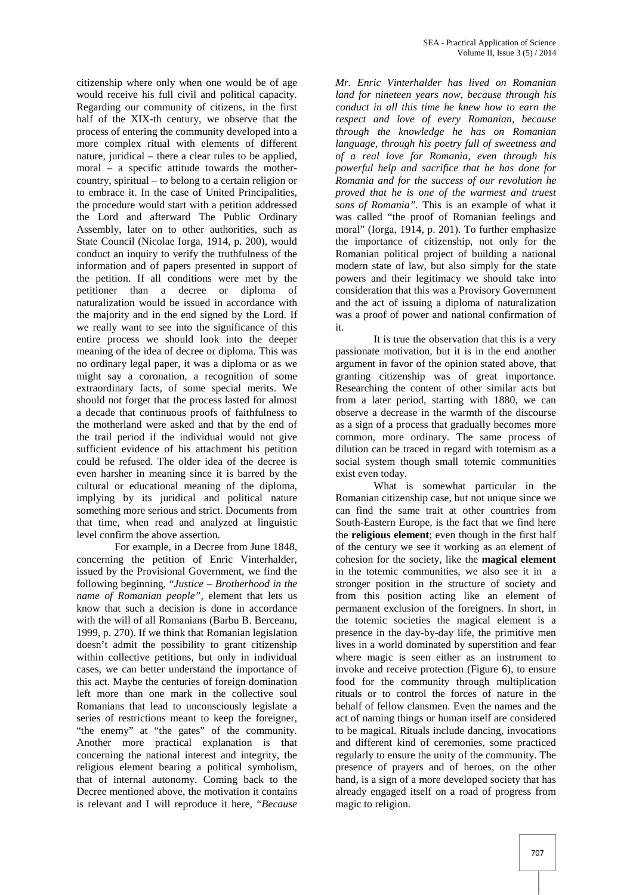citizenship where only when one would be of age would receive his full civil and political capacity. Regarding our community of citizens, in the first half of the XIX-th century, we observe that the process of entering the community developed into a more complex ritual with elements of different nature, juridical – there a clear rules to be applied, moral – a specific attitude towards the mother country, spiritual – to belong to a certain religion or to embrace it. In the case of United Principalities, the procedure would start with a petition addressed the Lord and afterward The Public Ordinary Assembly, later on to other authorities, such as State Council (Nicolae Iorga, 1914, p. 200), would conduct an inquiry to verify the truthfulness of the information and of papers presented in support of the petition. If all conditions were met by the petitioner than a decree or diploma of naturalization would be issued in accordance with the majority and in the end signed by the Lord. If we really want to see into the significance of this entire process we should look into the deeper meaning of the idea of decree or diploma. This was no ordinary legal paper, it was a diploma or as we might say a coronation, a recognition of some extraordinary facts, of some special merits. We should not forget that the process lasted for almost a decade that continuous proofs of faithfulness to the motherland were asked and that by the end of the trail period if the individual would not give sufficient evidence of his attachment his petition could be refused. The older idea of the decree is even harsher in meaning since it is barred by the cultural or educational meaning of the diploma, implying by its juridical and political nature something more serious and strict. Documents from that time, when read and analyzed at linguistic level confirm the above assertion.

For example, in a Decree from June 1848, concerning the petition of Enric Vinterhalder, issued by the Provisional Government, we find the following beginning, "*Justice – Brotherhood in the name of Romanian people"*, element that lets us know that such a decision is done in accordance with the will of all Romanians (Barbu B. Berceanu, 1999, p. 270). If we think that Romanian legislation doesn't admit the possibility to grant citizenship within collective petitions, but only in individual cases, we can better understand the importance of this act. Maybe the centuries of foreign domination left more than one mark in the collective soul Romanians that lead to unconsciously legislate a series of restrictions meant to keep the foreigner, "the enemy" at "the gates" of the community. Another more practical explanation is that concerning the national interest and integrity, the religious element bearing a political symbolism, that of internal autonomy. Coming back to the Decree mentioned above, the motivation it contains is relevant and I will reproduce it here, "*Because*

*Mr. Enric Vinterhalder has lived on Romanian land for nineteen years now, because through his conduct in all this time he knew how to earn the respect and love of every Romanian, because through the knowledge he has on Romanian language, through his poetry full of sweetness and of a real love for Romania, even through his powerful help and sacrifice that he has done for Romania and for the success of our revolution he proved that he is one of the warmest and truest sons of Romania".* This is an example of what it was called "the proof of Romanian feelings and moral" (Iorga, 1914, p. 201). To further emphasize the importance of citizenship, not only for the Romanian political project of building a national modern state of law, but also simply for the state powers and their legitimacy we should take into consideration that this was a Provisory Government and the act of issuing a diploma of naturalization was a proof of power and national confirmation of it.

It is true the observation that this is a very passionate motivation, but it is in the end another argument in favor of the opinion stated above, that granting citizenship was of great importance. Researching the content of other similar acts but from a later period, starting with 1880, we can observe a decrease in the warmth of the discourse as a sign of a process that gradually becomes more common, more ordinary. The same process of dilution can be traced in regard with totemism as a social system though small totemic communities exist even today.

What is somewhat particular in the Romanian citizenship case, but not unique since we can find the same trait at other countries from South-Eastern Europe, is the fact that we find here the **religious element**; even though in the first half of the century we see it working as an element of cohesion for the society, like the **magical element** in the totemic communities, we also see it in a stronger position in the structure of society and from this position acting like an element of permanent exclusion of the foreigners. In short, in the totemic societies the magical element is a presence in the day-by-day life, the primitive men lives in a world dominated by superstition and fear where magic is seen either as an instrument to invoke and receive protection (Figure 6), to ensure food for the community through multiplication rituals or to control the forces of nature in the behalf of fellow clansmen. Even the names and the act of naming things or human itself are considered to be magical. Rituals include dancing, invocations and different kind of ceremonies, some practiced regularly to ensure the unity of the community. The presence of prayers and of heroes, on the other hand, is a sign of a more developed society that has already engaged itself on a road of progress from magic to religion.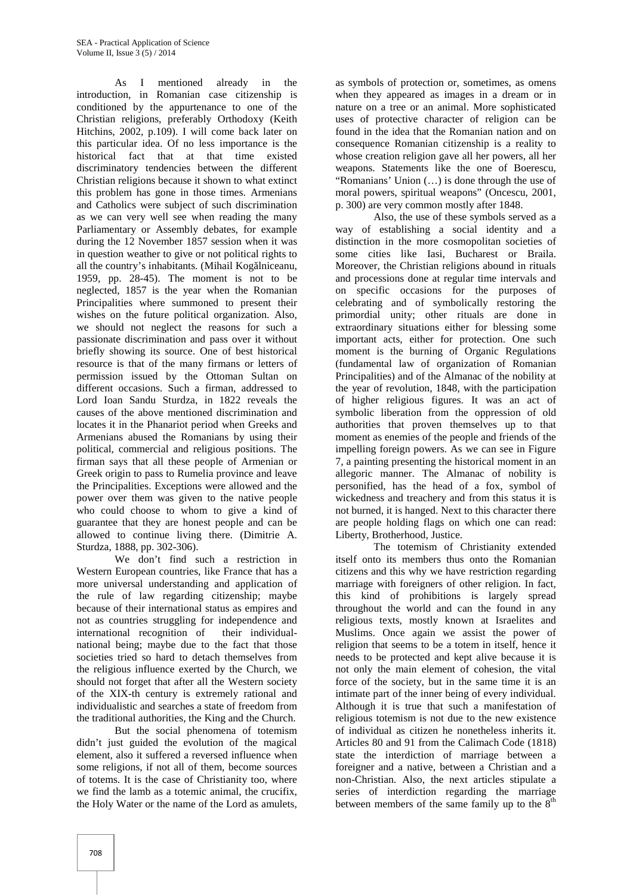As I mentioned already in the introduction, in Romanian case citizenship is conditioned by the appurtenance to one of the Christian religions, preferably Orthodoxy (Keith Hitchins, 2002, p.109). I will come back later on this particular idea. Of no less importance is the historical fact that at that time existed discriminatory tendencies between the different Christian religions because it shown to what extinct this problem has gone in those times. Armenians and Catholics were subject of such discrimination as we can very well see when reading the many Parliamentary or Assembly debates, for example during the 12 November 1857 session when it was in question weather to give or not political rights to all the country's inhabitants. (Mihail Kog Iniceanu, 1959*,* pp. 28-45). The moment is not to be neglected, 1857 is the year when the Romanian Principalities where summoned to present their wishes on the future political organization. Also, we should not neglect the reasons for such a passionate discrimination and pass over it without briefly showing its source. One of best historical resource is that of the many firmans or letters of permission issued by the Ottoman Sultan on different occasions. Such a firman, addressed to Lord Ioan Sandu Sturdza, in 1822 reveals the causes of the above mentioned discrimination and locates it in the Phanariot period when Greeks and Armenians abused the Romanians by using their political, commercial and religious positions. The firman says that all these people of Armenian or Greek origin to pass to Rumelia province and leave the Principalities. Exceptions were allowed and the power over them was given to the native people who could choose to whom to give a kind of guarantee that they are honest people and can be allowed to continue living there. (Dimitrie A. Sturdza, 1888, pp. 302-306).

We don't find such a restriction in Western European countries, like France that has a more universal understanding and application of the rule of law regarding citizenship; maybe because of their international status as empires and not as countries struggling for independence and international recognition of their individual national being; maybe due to the fact that those societies tried so hard to detach themselves from the religious influence exerted by the Church, we should not forget that after all the Western society of the XIX-th century is extremely rational and individualistic and searches a state of freedom from the traditional authorities, the King and the Church.

But the social phenomena of totemism didn't just guided the evolution of the magical element, also it suffered a reversed influence when some religions, if not all of them, become sources of totems. It is the case of Christianity too, where we find the lamb as a totemic animal, the crucifix, the Holy Water or the name of the Lord as amulets,

as symbols of protection or, sometimes, as omens when they appeared as images in a dream or in nature on a tree or an animal. More sophisticated uses of protective character of religion can be found in the idea that the Romanian nation and on consequence Romanian citizenship is a reality to whose creation religion gave all her powers, all her weapons. Statements like the one of Boerescu, "Romanians' Union (…) is done through the use of moral powers, spiritual weapons" (Oncescu, 2001, p. 300) are very common mostly after 1848.

Also, the use of these symbols served as a way of establishing a social identity and a distinction in the more cosmopolitan societies of some cities like Iasi, Bucharest or Braila. Moreover, the Christian religions abound in rituals and processions done at regular time intervals and on specific occasions for the purposes of celebrating and of symbolically restoring the primordial unity; other rituals are done in extraordinary situations either for blessing some important acts, either for protection. One such moment is the burning of Organic Regulations (fundamental law of organization of Romanian Principalities) and of the Almanac of the nobility at the year of revolution, 1848, with the participation of higher religious figures. It was an act of symbolic liberation from the oppression of old authorities that proven themselves up to that moment as enemies of the people and friends of the impelling foreign powers. As we can see in Figure 7, a painting presenting the historical moment in an allegoric manner. The Almanac of nobility is personified, has the head of a fox, symbol of wickedness and treachery and from this status it is not burned, it is hanged. Next to this character there are people holding flags on which one can read: Liberty, Brotherhood, Justice.

The totemism of Christianity extended itself onto its members thus onto the Romanian citizens and this why we have restriction regarding marriage with foreigners of other religion. In fact, this kind of prohibitions is largely spread throughout the world and can the found in any religious texts, mostly known at Israelites and Muslims. Once again we assist the power of religion that seems to be a totem in itself, hence it needs to be protected and kept alive because it is not only the main element of cohesion, the vital force of the society, but in the same time it is an intimate part of the inner being of every individual. Although it is true that such a manifestation of religious totemism is not due to the new existence of individual as citizen he nonetheless inherits it. Articles 80 and 91 from the Calimach Code (1818) state the interdiction of marriage between a foreigner and a native, between a Christian and a non-Christian. Also, the next articles stipulate a series of interdiction regarding the marriage between members of the same family up to the  $8<sup>th</sup>$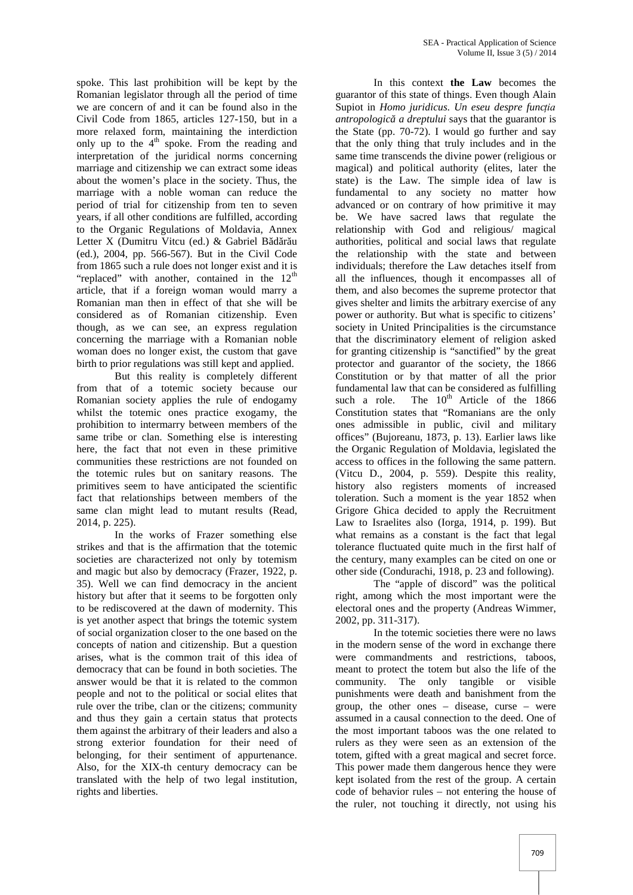spoke. This last prohibition will be kept by the Romanian legislator through all the period of time we are concern of and it can be found also in the Civil Code from 1865, articles 127-150, but in a more relaxed form, maintaining the interdiction only up to the  $4<sup>th</sup>$  spoke. From the reading and interpretation of the juridical norms concerning marriage and citizenship we can extract some ideas about the women's place in the society. Thus, the marriage with a noble woman can reduce the period of trial for citizenship from ten to seven years, if all other conditions are fulfilled, according to the Organic Regulations of Moldavia, Annex Letter X (Dumitru Vitcu (ed.) & Gabriel B d r u (ed.), 2004, pp. 566-567). But in the Civil Code from 1865 such a rule does not longer exist and it is "replaced" with another, contained in the  $12<sup>th</sup>$ article, that if a foreign woman would marry a Romanian man then in effect of that she will be considered as of Romanian citizenship. Even though, as we can see, an express regulation concerning the marriage with a Romanian noble woman does no longer exist, the custom that gave birth to prior regulations was still kept and applied.

But this reality is completely different from that of a totemic society because our Romanian society applies the rule of endogamy such a role. whilst the totemic ones practice exogamy, the prohibition to intermarry between members of the same tribe or clan. Something else is interesting here, the fact that not even in these primitive communities these restrictions are not founded on the totemic rules but on sanitary reasons. The primitives seem to have anticipated the scientific fact that relationships between members of the same clan might lead to mutant results (Read, 2014, p. 225).

In the works of Frazer something else strikes and that is the affirmation that the totemic societies are characterized not only by totemism and magic but also by democracy (Frazer, 1922, p. 35). Well we can find democracy in the ancient history but after that it seems to be forgotten only to be rediscovered at the dawn of modernity. This is yet another aspect that brings the totemic system of social organization closer to the one based on the concepts of nation and citizenship. But a question arises, what is the common trait of this idea of democracy that can be found in both societies. The answer would be that it is related to the common people and not to the political or social elites that rule over the tribe, clan or the citizens; community and thus they gain a certain status that protects them against the arbitrary of their leaders and also a strong exterior foundation for their need of belonging, for their sentiment of appurtenance. Also, for the XIX-th century democracy can be translated with the help of two legal institution, rights and liberties.

In this context **the Law** becomes the guarantor of this state of things. Even though Alain Supiot in *Homo juridicus. Un eseu despre funcția antropologic a dreptului* says that the guarantor is the State (pp. 70-72). I would go further and say that the only thing that truly includes and in the same time transcends the divine power (religious or magical) and political authority (elites, later the state) is the Law. The simple idea of law is fundamental to any society no matter how advanced or on contrary of how primitive it may be. We have sacred laws that regulate the relationship with God and religious/ magical authorities, political and social laws that regulate the relationship with the state and between individuals; therefore the Law detaches itself from all the influences, though it encompasses all of them, and also becomes the supreme protector that gives shelter and limits the arbitrary exercise of any power or authority. But what is specific to citizens' society in United Principalities is the circumstance that the discriminatory element of religion asked for granting citizenship is "sanctified" by the great protector and guarantor of the society, the 1866 Constitution or by that matter of all the prior fundamental law that can be considered as fulfilling The  $10^{th}$  Article of the 1866 Constitution states that "Romanians are the only ones admissible in public, civil and military offices" (Bujoreanu, 1873, p. 13). Earlier laws like the Organic Regulation of Moldavia, legislated the access to offices in the following the same pattern. (Vitcu D., 2004, p. 559). Despite this reality, history also registers moments of increased toleration. Such a moment is the year 1852 when Grigore Ghica decided to apply the Recruitment Law to Israelites also (Iorga, 1914, p. 199). But what remains as a constant is the fact that legal tolerance fluctuated quite much in the first half of the century, many examples can be cited on one or other side (Condurachi, 1918, p. 23 and following).

The "apple of discord" was the political right, among which the most important were the electoral ones and the property (Andreas Wimmer, 2002, pp. 311-317).

In the totemic societies there were no laws in the modern sense of the word in exchange there were commandments and restrictions, taboos, meant to protect the totem but also the life of the community. The only tangible or visible punishments were death and banishment from the group, the other ones – disease, curse – were assumed in a causal connection to the deed. One of the most important taboos was the one related to rulers as they were seen as an extension of the totem, gifted with a great magical and secret force. This power made them dangerous hence they were kept isolated from the rest of the group. A certain code of behavior rules – not entering the house of the ruler, not touching it directly, not using his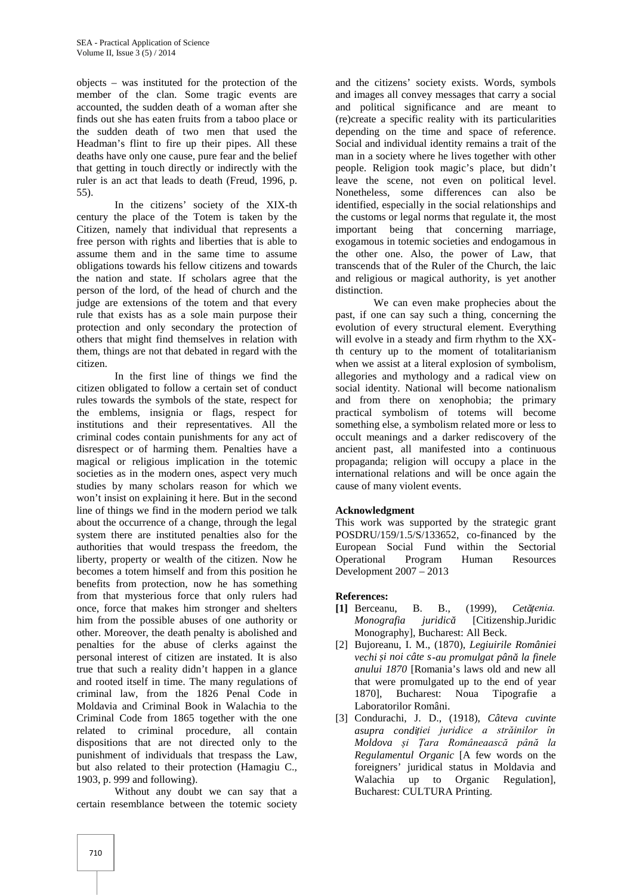objects – was instituted for the protection of the member of the clan. Some tragic events are accounted, the sudden death of a woman after she finds out she has eaten fruits from a taboo place or the sudden death of two men that used the Headman's flint to fire up their pipes. All these deaths have only one cause, pure fear and the belief that getting in touch directly or indirectly with the ruler is an act that leads to death (Freud, 1996, p. 55).

In the citizens' society of the XIX-th century the place of the Totem is taken by the Citizen, namely that individual that represents a free person with rights and liberties that is able to assume them and in the same time to assume obligations towards his fellow citizens and towards the nation and state. If scholars agree that the person of the lord, of the head of church and the judge are extensions of the totem and that every rule that exists has as a sole main purpose their protection and only secondary the protection of others that might find themselves in relation with them, things are not that debated in regard with the citizen.

In the first line of things we find the citizen obligated to follow a certain set of conduct rules towards the symbols of the state, respect for the emblems, insignia or flags, respect for institutions and their representatives. All the criminal codes contain punishments for any act of disrespect or of harming them. Penalties have a magical or religious implication in the totemic societies as in the modern ones, aspect very much studies by many scholars reason for which we won't insist on explaining it here. But in the second line of things we find in the modern period we talk about the occurrence of a change, through the legal system there are instituted penalties also for the authorities that would trespass the freedom, the liberty, property or wealth of the citizen. Now he becomes a totem himself and from this position he benefits from protection, now he has something from that mysterious force that only rulers had once, force that makes him stronger and shelters him from the possible abuses of one authority or other. Moreover, the death penalty is abolished and penalties for the abuse of clerks against the personal interest of citizen are instated. It is also true that such a reality didn't happen in a glance and rooted itself in time. The many regulations of criminal law, from the 1826 Penal Code in Moldavia and Criminal Book in Walachia to the Criminal Code from 1865 together with the one related to criminal procedure, all contain dispositions that are not directed only to the punishment of individuals that trespass the Law, but also related to their protection (Hamagiu C., 1903, p. 999 and following).

Without any doubt we can say that a certain resemblance between the totemic society and the citizens' society exists. Words, symbols and images all convey messages that carry a social and political significance and are meant to (re)create a specific reality with its particularities depending on the time and space of reference. Social and individual identity remains a trait of the man in a society where he lives together with other people. Religion took magic's place, but didn't leave the scene, not even on political level. Nonetheless, some differences can also be identified, especially in the social relationships and the customs or legal norms that regulate it, the most important being that concerning marriage, exogamous in totemic societies and endogamous in the other one. Also, the power of Law, that transcends that of the Ruler of the Church, the laic and religious or magical authority, is yet another distinction.

We can even make prophecies about the past, if one can say such a thing, concerning the evolution of every structural element. Everything will evolve in a steady and firm rhythm to the XXth century up to the moment of totalitarianism when we assist at a literal explosion of symbolism, allegories and mythology and a radical view on social identity. National will become nationalism and from there on xenophobia; the primary practical symbolism of totems will become something else, a symbolism related more or less to occult meanings and a darker rediscovery of the ancient past, all manifested into a continuous propaganda; religion will occupy a place in the international relations and will be once again the cause of many violent events.

### **Acknowledgment**

This work was supported by the strategic grant POSDRU/159/1.5/S/133652, co-financed by the European Social Fund within the Sectorial Operational Program Human Resources Development 2007 – 2013

### **References:**

- [1] Berceanu, B. B., (1999), *Cet țenia*. *Monografia juridic* [Citizenship.Juridic Monography], Bucharest: All Beck.
- [2] Bujoreanu, I. M., (1870), *Legiuirile României vechi și noi câte s-au promulgat până la finele anului 1870* [Romania's laws old and new all that were promulgated up to the end of year 1870], Bucharest: Noua Tipografie a Laboratorilor Români.
- [3] Condurachi, J. D., (1918), *Câteva cuvinte asupra condiției juridice a străinilor în Moldova și Țara Româneaască până la Regulamentul Organic* [A few words on the foreigners' juridical status in Moldavia and Walachia up to Organic Regulation], Bucharest: CULTURA Printing.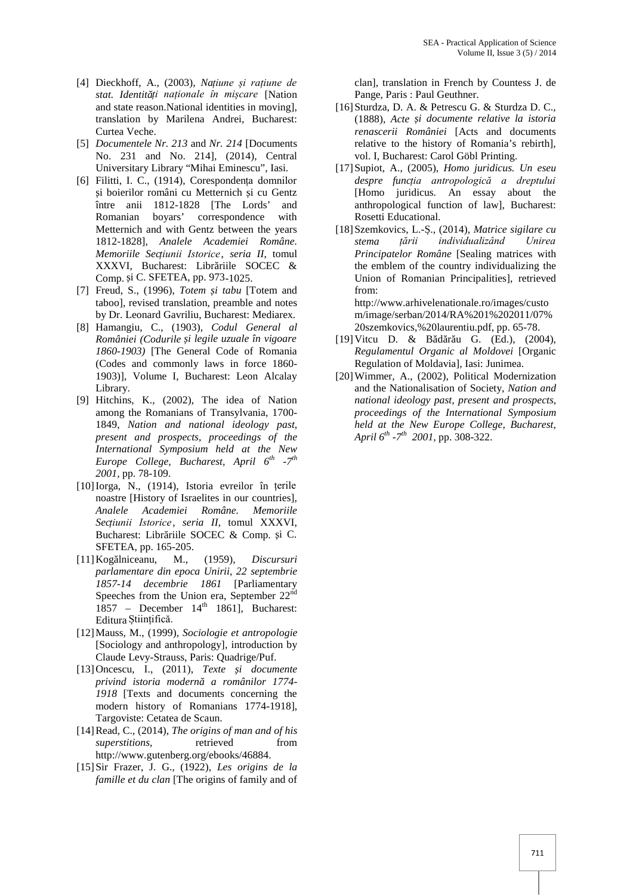- [4] Dieckhoff, A., (2003), *Națiune și rațiune de stat. Identități naționale în mișcare* [Nation and state reason.National identities in moving], translation by Marilena Andrei, Bucharest: Curtea Veche.
- [5] *Documentele Nr. 213* and *Nr. 214* [Documents No. 231 and No. 214]*,* (2014), Central Universitary Library "Mihai Eminescu", Iasi.
- [6] Filitti, I. C., (1914), Corespondența domnilor i boierilor români cu Metternich i cu Gentz între anii 1812-1828 [The Lords' and Romanian boyars' correspondence with Metternich and with Gentz between the years 1812-1828]*, Analele Academiei Române. Memoriile Secțiunii Istorice*, *seria II*, tomul XXXVI, Bucharest: Libr riile SOCEC & Comp. *i* C. SFETEA, pp. 973-1025.
- [7] Freud, S., (1996), *Totem și tabu* [Totem and taboo], revised translation, preamble and notes by Dr. Leonard Gavriliu, Bucharest: Mediarex.
- [8] Hamangiu, C., (1903), *Codul General al României (Codurile și legile uzuale în vigoare 1860-1903)* [The General Code of Romania (Codes and commonly laws in force 1860- 1903)], Volume I, Bucharest: Leon Alcalay Library.
- [9] Hitchins, K., (2002), The idea of Nation among the Romanians of Transylvania, 1700- 1849, *Nation and national ideology past, present and prospects, proceedings of the International Symposium held at the New Europe College, Bucharest, April 6th -7 th 2001,* pp. 78-109.
- [10]Iorga, N., (1914), Istoria evreilor în țerile noastre [History of Israelites in our countries], *Analele Academiei Române. Memoriile Secțiunii Istorice*, *seria II*, tomul XXXVI, Bucharest: Libr riile SOCEC & Comp. i C. SFETEA, pp. 165-205.
- [11] Kog lniceanu, M., (1959), *Discursuri parlamentare din epoca Unirii, 22 septembrie 1857-14 decembrie 1861* [Parliamentary Speeches from the Union era, September 22<sup>nd</sup>  $1857$  – December  $14<sup>th</sup>$  1861], Bucharest: Editura Științifică.
- [12]Mauss, M., (1999), *Sociologie et antropologie* [Sociology and anthropology], introduction by Claude Levy-Strauss, Paris: Quadrige/Puf.
- [13]Oncescu, I., (2011), *Texte și documente privind istoria modernă a românilor 1774- 1918* [Texts and documents concerning the modern history of Romanians 1774-1918], Targoviste: Cetatea de Scaun.
- [14]Read, C., (2014), *The origins of man and of his superstitions*, retrieved from http://www.gutenberg.org/ebooks/46884.
- [15]Sir Frazer, J. G., (1922), *Les origins de la famille et du clan* [The origins of family and of

clan], translation in French by Countess J. de Pange, Paris : Paul Geuthner.

- [16]Sturdza, D. A. & Petrescu G. & Sturdza D. C., (1888), *Acte și documente relative la istoria renascerii României* [Acts and documents relative to the history of Romania's rebirth], vol. I, Bucharest: Carol Göbl Printing.
- [17]Supiot, A., (2005), *Homo juridicus. Un eseu despre funcția antropologică a dreptului* [Homo juridicus. An essay about the anthropological function of law], Bucharest: Rosetti Educational.
- [18]Szemkovics, L.-Ș., (2014), *Matrice sigilare cu stema țării individualizând Unirea Principatelor Române* [Sealing matrices with the emblem of the country individualizing the Union of Romanian Principalities], retrieved from:

http://www.arhivelenationale.ro/images/custo m/image/serban/2014/RA%201%202011/07% 20szemkovics,%20laurentiu.pdf, pp. 65-78.

- [19] Vitcu D. & B d r u G. (Ed.), (2004), *Regulamentul Organic al Moldovei* [Organic Regulation of Moldavia], Iasi: Junimea.
- [20]Wimmer, A., (2002), Political Modernization and the Nationalisation of Society, *Nation and national ideology past, present and prospects, proceedings of the International Symposium held at the New Europe College, Bucharest, April 6th -7 th 2001,* pp. 308-322.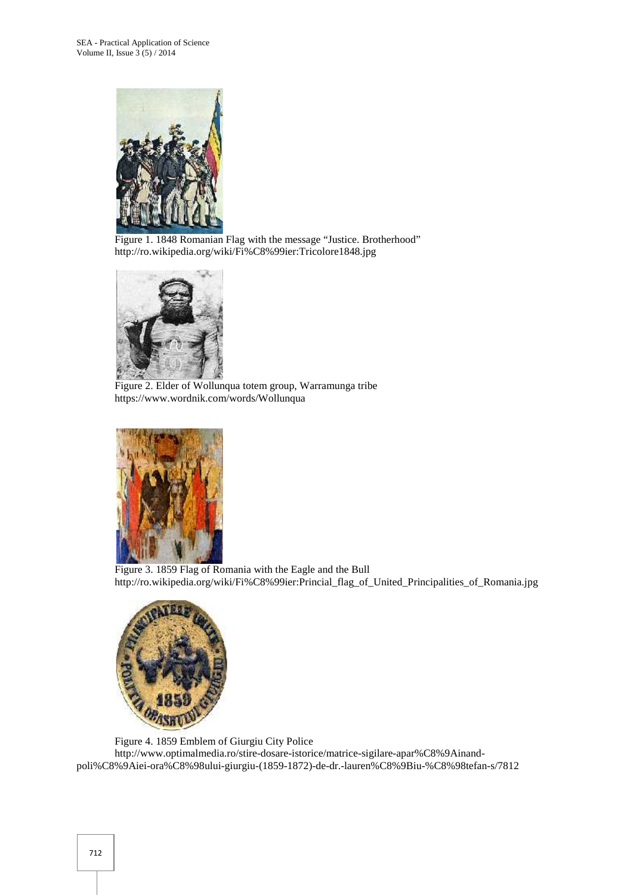

Figure 1. 1848 Romanian Flag with the message "Justice. Brotherhood" http://ro.wikipedia.org/wiki/Fi%C8%99ier:Tricolore1848.jpg



Figure 2. Elder of Wollunqua totem group, Warramunga tribe https://www.wordnik.com/words/Wollunqua



Figure 3. 1859 Flag of Romania with the Eagle and the Bull http://ro.wikipedia.org/wiki/Fi%C8%99ier:Princial\_flag\_of\_United\_Principalities\_of\_Romania.jpg



Figure 4. 1859 Emblem of Giurgiu City Police http://www.optimalmedia.ro/stire-dosare-istorice/matrice-sigilare-apar%C8%9Ainand poli%C8%9Aiei-ora%C8%98ului-giurgiu-(1859-1872)-de-dr.-lauren%C8%9Biu-%C8%98tefan-s/7812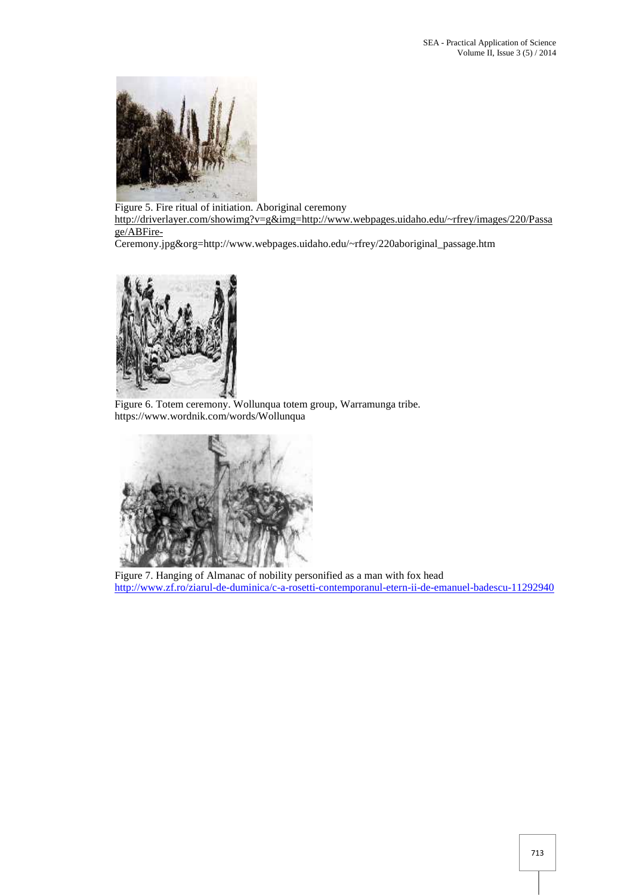

Figure 5. Fire ritual of initiation. Aboriginal ceremony http://driverlayer.com/showimg?v=g&img=http://www.webpages.uidaho.edu/~rfrey/images/220/Passa ge/ABFire-

Ceremony.jpg&org=http://www.webpages.uidaho.edu/~rfrey/220aboriginal\_passage.htm



Figure 6. Totem ceremony. Wollunqua totem group, Warramunga tribe. https://www.wordnik.com/words/Wollunqua



Figure 7. Hanging of Almanac of nobility personified as a man with fox head http://www.zf.ro/ziarul-de-duminica/c-a-rosetti-contemporanul-etern-ii-de-emanuel-badescu-11292940